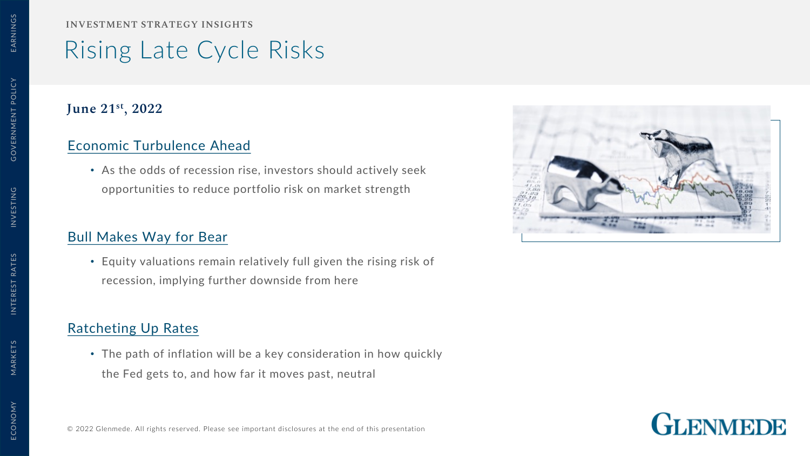**INVESTMENT STRATEGY INSIGHTS**

# Rising Late Cycle Risks

### **June 21st, 2022**

## [Economic Turbulence Ahead](#page-1-0)

• As the odds of recession rise, investors should actively seek opportunities to reduce portfolio risk on market strength

# [Bull Makes Way for Bear](#page-2-0)

• Equity valuations remain relatively full given the rising risk of recession, implying further downside from here

# [Ratcheting Up Rates](#page-2-0)

• The path of inflation will be a key consideration in how quickly the Fed gets to, and how far it moves past, neutral





MARKETS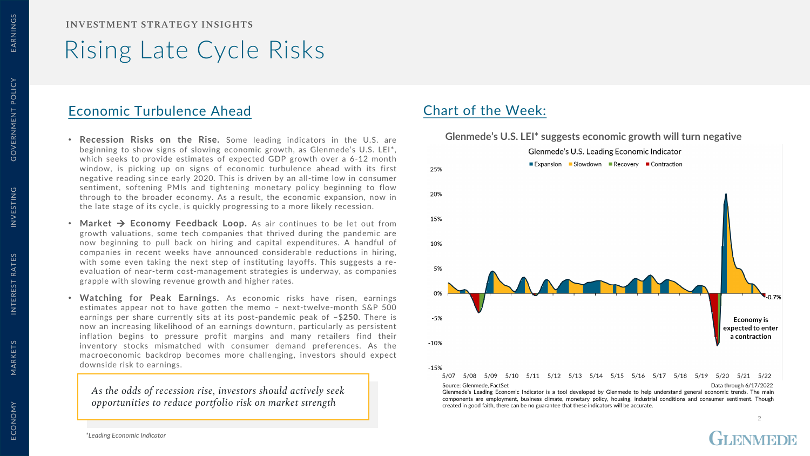<span id="page-1-0"></span>ECONOMY MARKETS INTEREST RATES INVESTING GOVERNMENT POLICY EARNINGS GOVERNMENT POLICY

INTEREST RATES

ECONOMY

**INVESTMENT STRATEGY INSIGHTS**

# Rising Late Cycle Risks

### Economic Turbulence Ahead Chart of the Week:

- **Recession Risks on the Rise.** Some leading indicators in the U.S. are beginning to show signs of slowing economic growth, as Glenmede's U.S. LEI\*, which seeks to provide estimates of expected GDP growth over a 6-12 month window, is picking up on signs of economic turbulence ahead with its first negative reading since early 2020. This is driven by an all-time low in consumer sentiment, softening PMIs and tightening monetary policy beginning to flow through to the broader economy. As a result, the economic expansion, now in the late stage of its cycle, is quickly progressing to a more likely recession.
- **Market Economy Feedback Loop.** As air continues to be let out from growth valuations, some tech companies that thrived during the pandemic are now beginning to pull back on hiring and capital expenditures. A handful of companies in recent weeks have announced considerable reductions in hiring, with some even taking the next step of instituting layoffs. This suggests a reevaluation of near-term cost-management strategies is underway, as companies grapple with slowing revenue growth and higher rates.
- **Watching for Peak Earnings.** As economic risks have risen, earnings estimates appear not to have gotten the memo – next-twelve-month S&P 500 earnings per share currently sits at its post-pandemic peak of ~\$**250**. There is now an increasing likelihood of an earnings downturn, particularly as persistent inflation begins to pressure profit margins and many retailers find their inventory stocks mismatched with consumer demand preferences. As the macroeconomic backdrop becomes more challenging, investors should expect downside risk to earnings.

*As the odds of recession rise, investors should actively seek opportunities to reduce portfolio risk on market strength*

### **Glenmede's U.S. LEI\* suggests economic growth will turn negative**



 $\overline{2}$ 

*\*Leading Economic Indicator*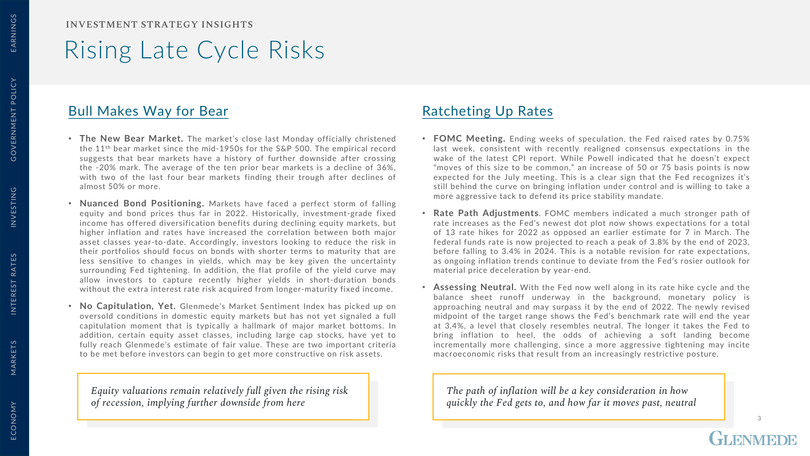# <span id="page-2-0"></span>Rising Late Cycle Risks

## Bull Makes Way for Bear Ratcheting Up Rates

- **The New Bear Market.** The market's close last Monday officially christened the 11th bear market since the mid-1950s for the S&P 500. The empirical record suggests that bear markets have a history of further downside after crossing the -20% mark. The average of the ten prior bear markets is a decline of 36%, with two of the last four bear markets finding their trough after declines of almost 50% or more.
- **Nuanced Bond Positioning.** Markets have faced a perfect storm of falling equity and bond prices thus far in 2022. Historically, investment-grade fixed income has offered diversification benefits during declining equity markets, but higher inflation and rates have increased the correlation between both major asset classes year-to-date. Accordingly, investors looking to reduce the risk in their portfolios should focus on bonds with shorter terms to maturity that are less sensitive to changes in yields, which may be key given the uncertainty surrounding Fed tightening. In addition, the flat profile of the yield curve may allow investors to capture recently higher yields in short-duration bonds without the extra interest rate risk acquired from longer-maturity fixed income.
- **No Capitulation, Yet.** Glenmede's Market Sentiment Index has picked up on oversold conditions in domestic equity markets but has not yet signaled a full capitulation moment that is typically a hallmark of major market bottoms. In addition, certain equity asset classes, including large cap stocks, have yet to fully reach Glenmede's estimate of fair value. These are two important criteria to be met before investors can begin to get more constructive on risk assets.

*Equity valuations remain relatively full given the rising risk of recession, implying further downside from here*

- **FOMC Meeting.** Ending weeks of speculation, the Fed raised rates by 0.75% last week, consistent with recently realigned consensus expectations in the wake of the latest CPI report. While Powell indicated that he doesn't expect "moves of this size to be common," an increase of 50 or 75 basis points is now expected for the July meeting. This is a clear sign that the Fed recognizes it's still behind the curve on bringing inflation under control and is willing to take a more aggressive tack to defend its price stability mandate.
- **Rate Path Adjustments**. FOMC members indicated a much stronger path of rate increases as the Fed's newest dot plot now shows expectations for a total of 13 rate hikes for 2022 as opposed an earlier estimate for 7 in March. The federal funds rate is now projected to reach a peak of 3.8% by the end of 2023, before falling to 3.4% in 2024. This is a notable revision for rate expectations, as ongoing inflation trends continue to deviate from the Fed's rosier outlook for material price deceleration by year-end.
- **Assessing Neutral.** With the Fed now well along in its rate hike cycle and the balance sheet runoff underway in the background, monetary policy is approaching neutral and may surpass it by the end of 2022. The newly revised midpoint of the target range shows the Fed's benchmark rate will end the year at 3.4%, a level that closely resembles neutral. The longer it takes the Fed to bring inflation to heel, the odds of achieving a soft landing become incrementally more challenging, since a more aggressive tightening may incite macroeconomic risks that result from an increasingly restrictive posture.

3

*The path of inflation will be a key consideration in how quickly the Fed gets to, and how far it moves past, neutral*

MARKETS